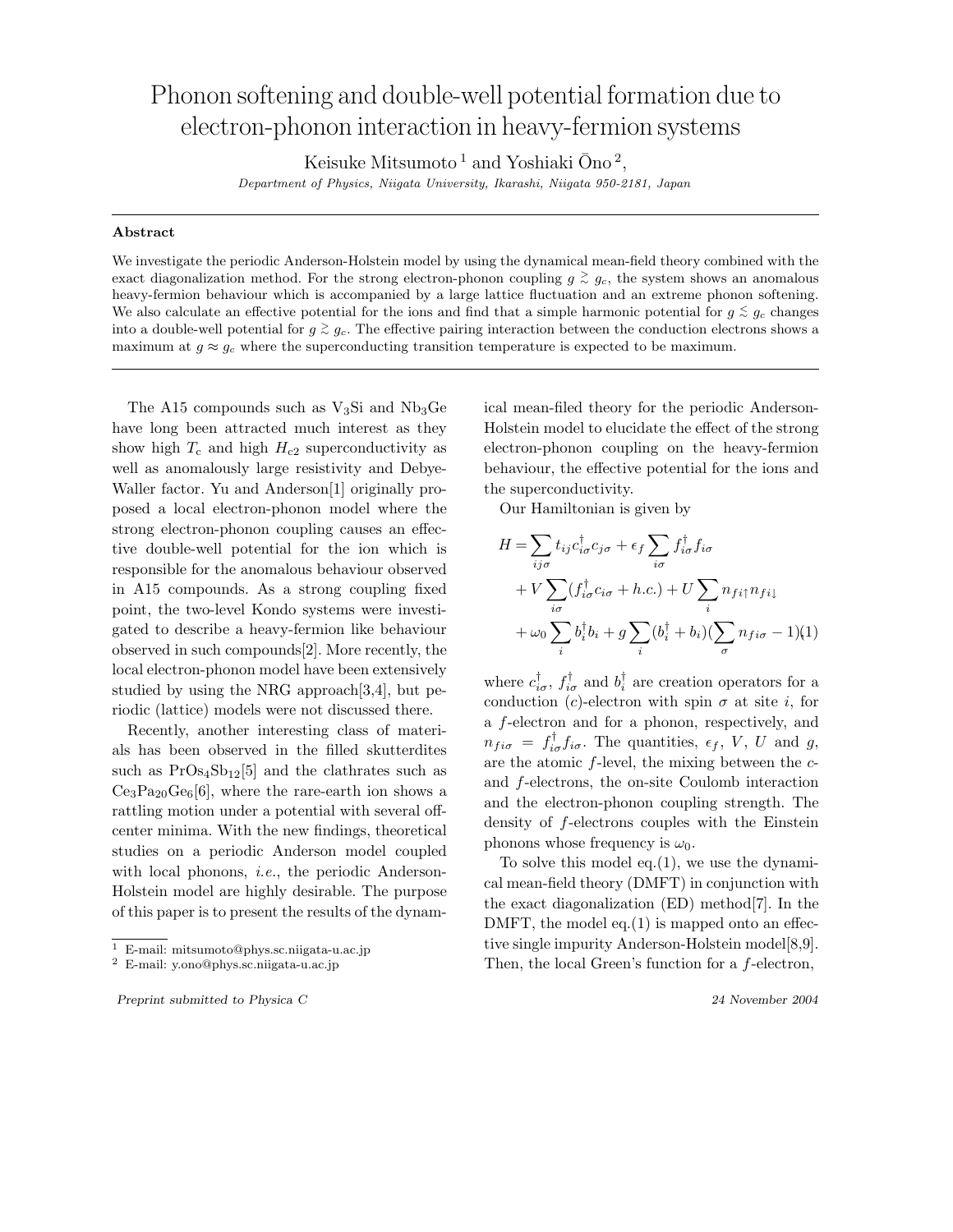## Phonon softening and double-well potential formation due to electron-phonon interaction in heavy-fermion systems

Keisuke Mitsumoto<sup>1</sup> and Yoshiaki  $\bar{\text{O}}$ no<sup>2</sup>,

Department of Physics, Niigata University, Ikarashi, Niigata 950-2181, Japan

## Abstract

We investigate the periodic Anderson-Holstein model by using the dynamical mean-field theory combined with the exact diagonalization method. For the strong electron-phonon coupling  $g \ge g_c$ , the system shows an anomalous heavy-fermion behaviour which is accompanied by a large lattice fluctuation and an extreme phonon softening. We also calculate an effective potential for the ions and find that a simple harmonic potential for  $g \lesssim g_c$  changes into a double-well potential for  $g \gtrsim g_c$ . The effective pairing interaction between the conduction electrons shows a maximum at  $g \approx g_c$  where the superconducting transition temperature is expected to be maximum.

The A15 compounds such as  $V_3S_i$  and  $Nb_3Ge$ have long been attracted much interest as they show high  $T_c$  and high  $H_{c2}$  superconductivity as well as anomalously large resistivity and Debye-Waller factor. Yu and Anderson[1] originally proposed a local electron-phonon model where the strong electron-phonon coupling causes an effective double-well potential for the ion which is responsible for the anomalous behaviour observed in A15 compounds. As a strong coupling fixed point, the two-level Kondo systems were investigated to describe a heavy-fermion like behaviour observed in such compounds[2]. More recently, the local electron-phonon model have been extensively studied by using the NRG approach[3,4], but periodic (lattice) models were not discussed there.

Recently, another interesting class of materials has been observed in the filled skutterdites such as  $PrOs<sub>4</sub>Sb<sub>12</sub>[5]$  and the clathrates such as  $Ce<sub>3</sub>Pa<sub>20</sub>Ge<sub>6</sub>[6]$ , where the rare-earth ion shows a rattling motion under a potential with several offcenter minima. With the new findings, theoretical studies on a periodic Anderson model coupled with local phonons, *i.e.*, the periodic Anderson-Holstein model are highly desirable. The purpose of this paper is to present the results of the dynamical mean-filed theory for the periodic Anderson-Holstein model to elucidate the effect of the strong electron-phonon coupling on the heavy-fermion behaviour, the effective potential for the ions and the superconductivity.

Our Hamiltonian is given by

$$
H = \sum_{ij\sigma} t_{ij} c_{i\sigma}^{\dagger} c_{j\sigma} + \epsilon_f \sum_{i\sigma} f_{i\sigma}^{\dagger} f_{i\sigma}
$$
  
+  $V \sum_{i\sigma} (f_{i\sigma}^{\dagger} c_{i\sigma} + h.c.) + U \sum_{i} n_{fi} n_{fi}$   
+  $\omega_0 \sum_{i} b_i^{\dagger} b_i + g \sum_{i} (b_i^{\dagger} + b_i) (\sum_{\sigma} n_{fi\sigma} - 1)(1)$ 

where  $c_{i\sigma}^{\dagger}$ ,  $f_{i\sigma}^{\dagger}$  and  $b_i^{\dagger}$  are creation operators for a conduction (c)-electron with spin  $\sigma$  at site *i*, for a f-electron and for a phonon, respectively, and  $n_{fi\sigma} = f_{i\sigma}^{\dagger} f_{i\sigma}$ . The quantities,  $\epsilon_f$ , V, U and g, are the atomic  $f$ -level, the mixing between the  $c$ and f-electrons, the on-site Coulomb interaction and the electron-phonon coupling strength. The density of f-electrons couples with the Einstein phonons whose frequency is  $\omega_0$ .

To solve this model eq. $(1)$ , we use the dynamical mean-field theory (DMFT) in conjunction with the exact diagonalization (ED) method[7]. In the DMFT, the model eq. $(1)$  is mapped onto an effective single impurity Anderson-Holstein model[8,9]. Then, the local Green's function for a f-electron,

<sup>1</sup> E-mail: mitsumoto@phys.sc.niigata-u.ac.jp

<sup>2</sup> E-mail: y.ono@phys.sc.niigata-u.ac.jp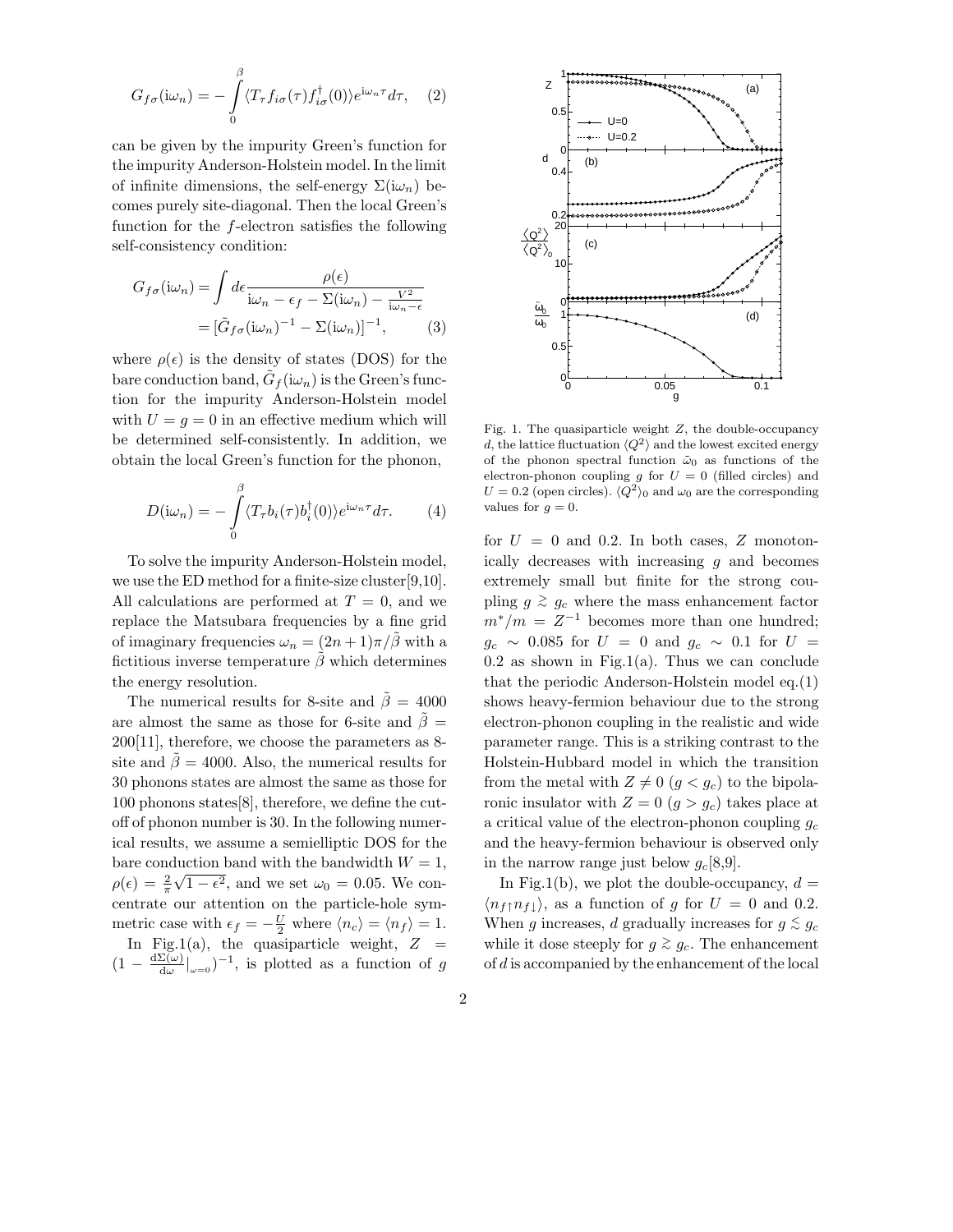$$
G_{f\sigma}(\mathrm{i}\omega_n) = -\int_0^\beta \langle T_\tau f_{i\sigma}(\tau) f_{i\sigma}^\dagger(0) \rangle e^{\mathrm{i}\omega_n \tau} d\tau, \quad (2)
$$

can be given by the impurity Green's function for the impurity Anderson-Holstein model. In the limit of infinite dimensions, the self-energy  $\Sigma(i\omega_n)$  becomes purely site-diagonal. Then the local Green's function for the f-electron satisfies the following self-consistency condition:

$$
G_{f\sigma}(\mathrm{i}\omega_n) = \int d\epsilon \frac{\rho(\epsilon)}{\mathrm{i}\omega_n - \epsilon_f - \Sigma(\mathrm{i}\omega_n) - \frac{V^2}{\mathrm{i}\omega_n - \epsilon}}
$$

$$
= [\tilde{G}_{f\sigma}(\mathrm{i}\omega_n)^{-1} - \Sigma(\mathrm{i}\omega_n)]^{-1}, \qquad (3)
$$

where  $\rho(\epsilon)$  is the density of states (DOS) for the bare conduction band,  $\tilde{G}_f(i\omega_n)$  is the Green's function for the impurity Anderson-Holstein model with  $U = g = 0$  in an effective medium which will be determined self-consistently. In addition, we obtain the local Green's function for the phonon,

$$
D(i\omega_n) = -\int_0^\beta \langle T_\tau b_i(\tau) b_i^\dagger(0) \rangle e^{i\omega_n \tau} d\tau.
$$
 (4)

To solve the impurity Anderson-Holstein model, we use the ED method for a finite-size cluster[9,10]. All calculations are performed at  $T = 0$ , and we replace the Matsubara frequencies by a fine grid of imaginary frequencies  $\omega_n = (2n+1)\pi/\tilde{\beta}$  with a fictitious inverse temperature  $\tilde{\beta}$  which determines the energy resolution.

The numerical results for 8-site and  $\tilde{\beta} = 4000$ are almost the same as those for 6-site and  $\beta =$ 200[11], therefore, we choose the parameters as 8 site and  $\tilde{\beta} = 4000$ . Also, the numerical results for 30 phonons states are almost the same as those for 100 phonons states[8], therefore, we define the cutoff of phonon number is 30. In the following numerical results, we assume a semielliptic DOS for the bare conduction band with the bandwidth  $W = 1$ ,  $\rho(\epsilon) = \frac{2}{\pi} \sqrt{1 - \epsilon^2}$ , and we set  $\omega_0 = 0.05$ . We concentrate our attention on the particle-hole symmetric case with  $\epsilon_f = -\frac{U}{2}$  where  $\langle n_c \rangle = \langle n_f \rangle = 1$ . In Fig.1(a), the quasiparticle weight,  $Z =$ 

 $(1 - \frac{d\Sigma(\omega)}{d\omega})$  $\frac{\Sigma(\omega)}{d\omega}\big|_{\omega=0}$  )<sup>-1</sup>, is plotted as a function of g



Fig. 1. The quasiparticle weight Z, the double-occupancy d, the lattice fluctuation  $\langle Q^2 \rangle$  and the lowest excited energy of the phonon spectral function  $\tilde{\omega}_0$  as functions of the electron-phonon coupling g for  $U = 0$  (filled circles) and  $U = 0.2$  (open circles).  $\langle Q^2 \rangle_0$  and  $\omega_0$  are the corresponding values for  $q = 0$ .

for  $U = 0$  and 0.2. In both cases, Z monotonically decreases with increasing g and becomes extremely small but finite for the strong coupling  $g \geq g_c$  where the mass enhancement factor  $m^*/m = Z^{-1}$  becomes more than one hundred;  $g_c \sim 0.085$  for  $U = 0$  and  $g_c \sim 0.1$  for  $U =$  $0.2$  as shown in Fig.1(a). Thus we can conclude that the periodic Anderson-Holstein model eq.(1) shows heavy-fermion behaviour due to the strong electron-phonon coupling in the realistic and wide parameter range. This is a striking contrast to the Holstein-Hubbard model in which the transition from the metal with  $Z \neq 0$  ( $g < g_c$ ) to the bipolaronic insulator with  $Z = 0$   $(g > g_c)$  takes place at a critical value of the electron-phonon coupling  $g_c$ and the heavy-fermion behaviour is observed only in the narrow range just below  $g_c[8,9]$ .

In Fig.1(b), we plot the double-occupancy,  $d =$  $\langle n_{f\uparrow}n_{f\downarrow}\rangle$ , as a function of g for  $U = 0$  and 0.2. When g increases, d gradually increases for  $g \lesssim g_c$ while it dose steeply for  $g \gtrsim g_c$ . The enhancement of  $d$  is accompanied by the enhancement of the local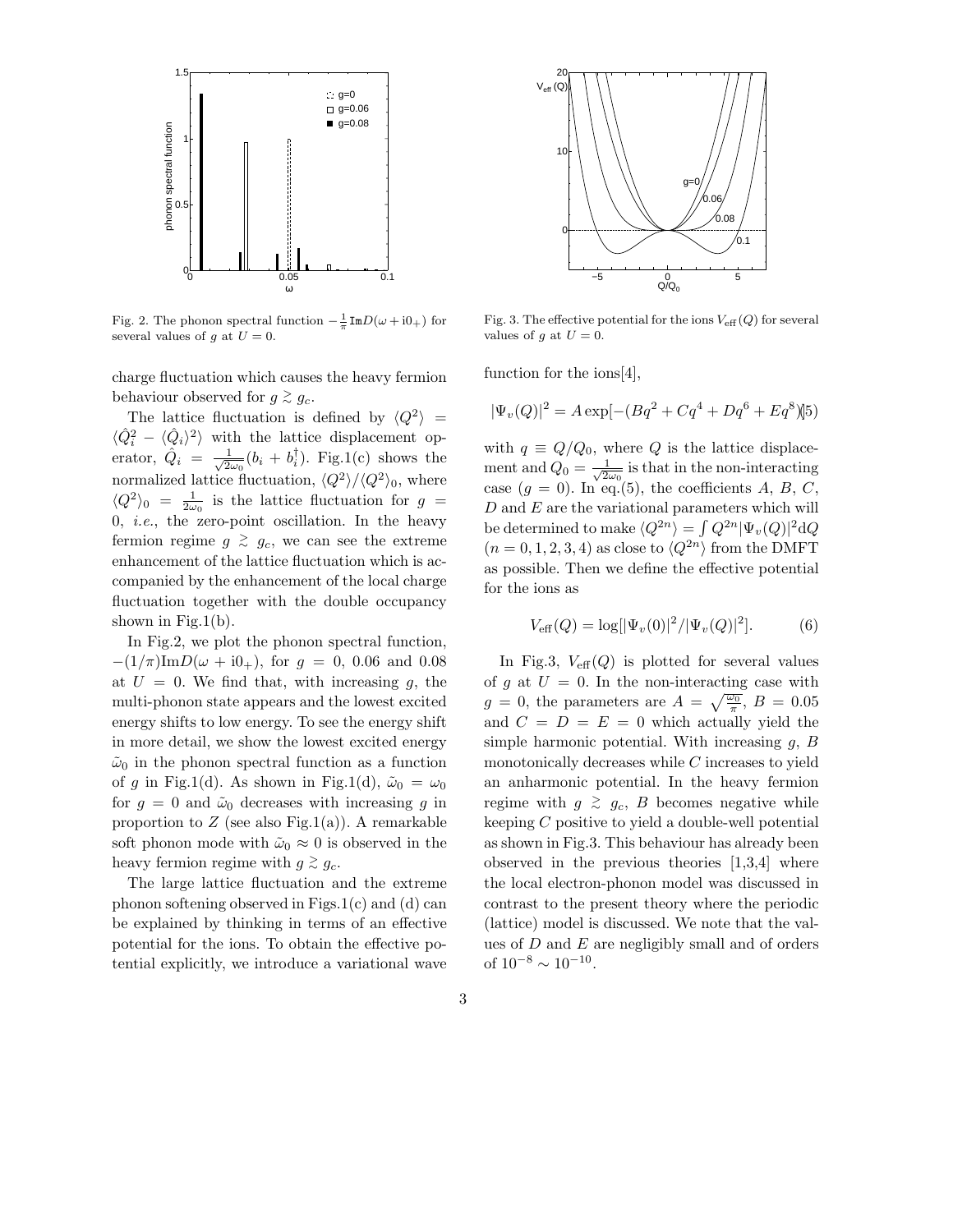

Fig. 2. The phonon spectral function  $-\frac{1}{\pi} \text{Im}D(\omega + i0_+)$  for several values of q at  $U = 0$ .

charge fluctuation which causes the heavy fermion behaviour observed for  $g \gtrsim g_c$ .

The lattice fluctuation is defined by  $\langle Q^2 \rangle$  =  $\langle \hat{Q}_i^2 - \langle \hat{Q}_i \rangle^2 \rangle$  with the lattice displacement operator,  $\hat{Q}_i = \frac{1}{\sqrt{2\omega_0}}(b_i + b_i^{\dagger})$ . Fig.1(c) shows the normalized lattice fluctuation,  $\langle Q^2 \rangle / \langle Q^2 \rangle_0$ , where  $\langle Q^2 \rangle_0 = \frac{1}{2\omega_0}$  is the lattice fluctuation for  $g =$  $0, i.e.,$  the zero-point oscillation. In the heavy fermion regime  $g \geq g_c$ , we can see the extreme enhancement of the lattice fluctuation which is accompanied by the enhancement of the local charge fluctuation together with the double occupancy shown in Fig.  $1(b)$ .

In Fig.2, we plot the phonon spectral function,  $-(1/\pi)\text{Im}D(\omega + i0_+),$  for  $q = 0, 0.06$  and 0.08 at  $U = 0$ . We find that, with increasing g, the multi-phonon state appears and the lowest excited energy shifts to low energy. To see the energy shift in more detail, we show the lowest excited energy  $\tilde{\omega}_0$  in the phonon spectral function as a function of g in Fig.1(d). As shown in Fig.1(d),  $\tilde{\omega}_0 = \omega_0$ for  $g = 0$  and  $\tilde{\omega}_0$  decreases with increasing g in proportion to  $Z$  (see also Fig.1(a)). A remarkable soft phonon mode with  $\tilde{\omega}_0 \approx 0$  is observed in the heavy fermion regime with  $g \gtrsim g_c$ .

The large lattice fluctuation and the extreme phonon softening observed in Figs.1(c) and (d) can be explained by thinking in terms of an effective potential for the ions. To obtain the effective potential explicitly, we introduce a variational wave



Fig. 3. The effective potential for the ions  $V_{\text{eff}}(Q)$  for several values of g at  $U = 0$ .

function for the ions[4],

$$
|\Psi_v(Q)|^2 = A \exp[-(Bq^2 + Cq^4 + Dq^6 + Eq^8)]5)
$$

with  $q \equiv Q/Q_0$ , where Q is the lattice displacement and  $Q_0 = \frac{1}{\sqrt{2\omega_0}}$  is that in the non-interacting case  $(g = 0)$ . In eq.(5), the coefficients A, B, C,  $D$  and  $E$  are the variational parameters which will be determined to make  $\langle Q^{2n} \rangle = \int Q^{2n} |\Psi_v(Q)|^2 dQ$  $(n = 0, 1, 2, 3, 4)$  as close to  $\langle Q^{2n} \rangle$  from the DMFT as possible. Then we define the effective potential for the ions as

$$
V_{\text{eff}}(Q) = \log[|\Psi_v(0)|^2/|\Psi_v(Q)|^2].
$$
 (6)

In Fig.3,  $V_{\text{eff}}(Q)$  is plotted for several values of g at  $U = 0$ . In the non-interacting case with  $g = 0$ , the parameters are  $A = \sqrt{\frac{\omega_0}{\pi}}, B = 0.05$ and  $C = D = E = 0$  which actually yield the simple harmonic potential. With increasing  $g$ ,  $B$ monotonically decreases while  $C$  increases to yield an anharmonic potential. In the heavy fermion regime with  $g \geq g_c$ , B becomes negative while keeping C positive to yield a double-well potential as shown in Fig.3. This behaviour has already been observed in the previous theories [1,3,4] where the local electron-phonon model was discussed in contrast to the present theory where the periodic (lattice) model is discussed. We note that the values of D and E are negligibly small and of orders of  $10^{-8} \sim 10^{-10}$ .